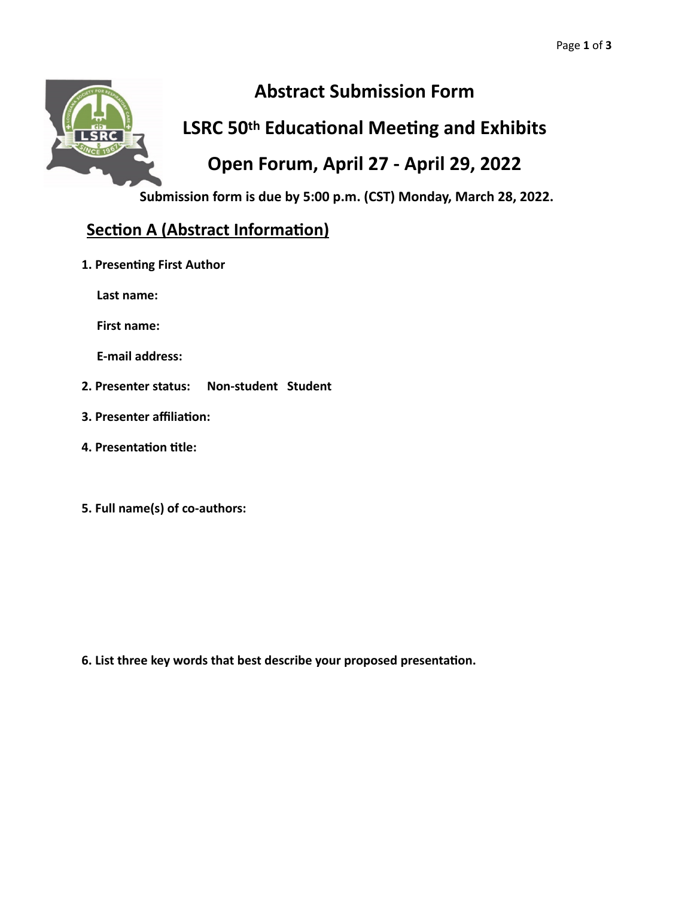

# **Abstract Submission Form**

## **LSRC 50th Educational Meeting and Exhibits**

## **Open Forum, April 27 - April 29, 2022**

**Submission form is due by 5:00 p.m. (CST) Monday, March 28, 2022.**

## **Section A (Abstract Information)**

**1. Presenting First Author** 

Last name:

**First name:** 

**E-mail address:** 

- **2. Presenter status: Non-student Student**
- **3. Presenter affiliation:**
- **4. Presentation title:**
- **5. Full name(s) of co-authors:**

**6. List three key words that best describe your proposed presentation.**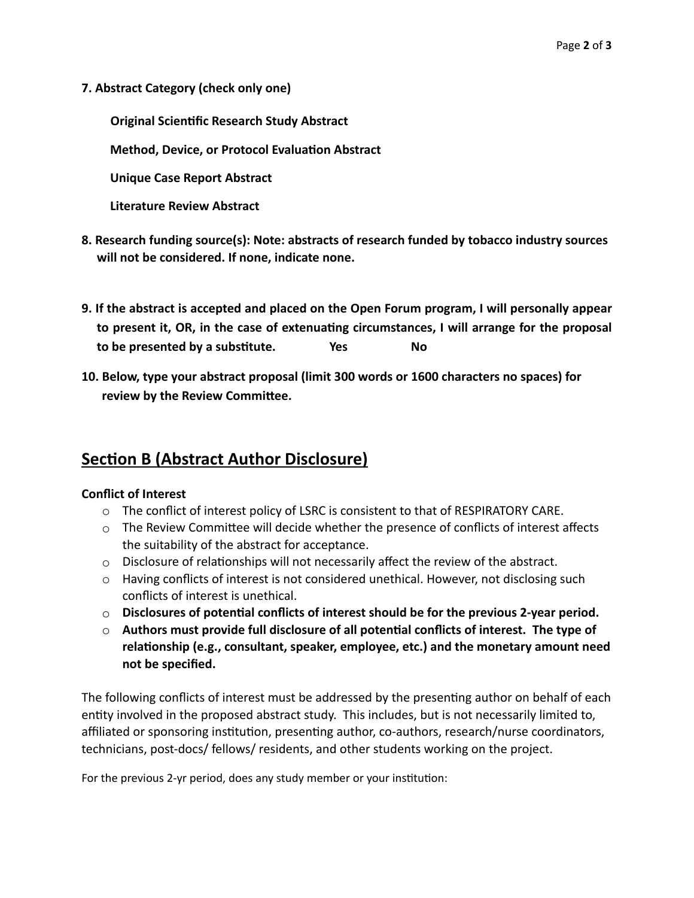**7. Abstract Category (check only one)**

**Original Scientific Research Study Abstract** 

 **Method, Device, or Protocol Evaluation Abstract**

 **Unique Case Report Abstract**

 **Literature Review Abstract**

- **8. Research funding source(s): Note: abstracts of research funded by tobacco industry sources will not be considered. If none, indicate none.**
- **9. If the abstract is accepted and placed on the Open Forum program, I will personally appear to present it, OR, in the case of extenuating circumstances, I will arrange for the proposal to be presented by a substitute. Yes No**
- **10. Below, type your abstract proposal (limit 300 words or 1600 characters no spaces) for review by the Review Committee.**

### **Section B (Abstract Author Disclosure)**

### **Conflict of Interest**

- o The conflict of interest policy of LSRC is consistent to that of RESPIRATORY CARE.
- $\circ$  The Review Committee will decide whether the presence of conflicts of interest affects the suitability of the abstract for acceptance.
- $\circ$  Disclosure of relationships will not necessarily affect the review of the abstract.
- o Having conflicts of interest is not considered unethical. However, not disclosing such conflicts of interest is unethical.
- o **Disclosures of potential conflicts of interest should be for the previous 2-year period.**
- o **Authors must provide full disclosure of all potential conflicts of interest. The type of relationship (e.g., consultant, speaker, employee, etc.) and the monetary amount need not be specified.**

The following conflicts of interest must be addressed by the presenting author on behalf of each entity involved in the proposed abstract study. This includes, but is not necessarily limited to, affiliated or sponsoring institution, presenting author, co-authors, research/nurse coordinators, technicians, post-docs/ fellows/ residents, and other students working on the project.

For the previous 2-yr period, does any study member or your institution: